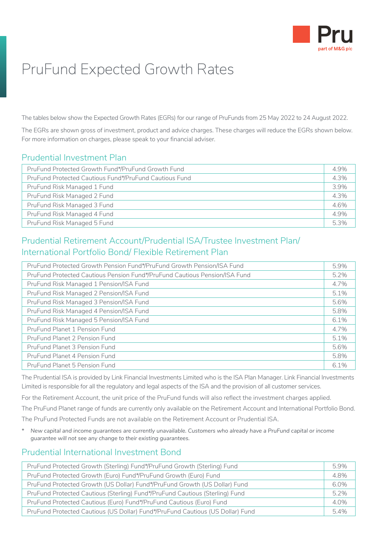

# PruFund Expected Growth Rates

The tables below show the Expected Growth Rates (EGRs) for our range of PruFunds from 25 May 2022 to 24 August 2022.

The EGRs are shown gross of investment, product and advice charges. These charges will reduce the EGRs shown below. For more information on charges, please speak to your financial adviser.

## Prudential Investment Plan

| PruFund Protected Growth Fund*/PruFund Growth Fund     | 4.9% |
|--------------------------------------------------------|------|
| PruFund Protected Cautious Fund*/PruFund Cautious Fund | 4.3% |
| PruFund Risk Managed 1 Fund                            | 3.9% |
| PruFund Risk Managed 2 Fund                            | 4.3% |
| PruFund Risk Managed 3 Fund                            | 4.6% |
| PruFund Risk Managed 4 Fund                            | 4.9% |
| PruFund Risk Managed 5 Fund                            | 5.3% |

# Prudential Retirement Account/Prudential ISA/Trustee Investment Plan/ International Portfolio Bond/ Flexible Retirement Plan

| PruFund Protected Growth Pension Fund*/PruFund Growth Pension/ISA Fund     | 5.9%    |
|----------------------------------------------------------------------------|---------|
| PruFund Protected Cautious Pension Fund*/PruFund Cautious Pension/ISA Fund |         |
| PruFund Risk Managed 1 Pension/ISA Fund                                    | 4.7%    |
| PruFund Risk Managed 2 Pension/ISA Fund                                    | 5.1%    |
| PruFund Risk Managed 3 Pension/ISA Fund                                    | 5.6%    |
| PruFund Risk Managed 4 Pension/ISA Fund                                    | 5.8%    |
| PruFund Risk Managed 5 Pension/ISA Fund                                    | $6.1\%$ |
| PruFund Planet 1 Pension Fund                                              | 4.7%    |
| PruFund Planet 2 Pension Fund                                              | $5.1\%$ |
| PruFund Planet 3 Pension Fund                                              | 5.6%    |
| PruFund Planet 4 Pension Fund                                              | 5.8%    |
| <b>PruFund Planet 5 Pension Fund</b>                                       | 6.1%    |

The Prudential ISA is provided by Link Financial Investments Limited who is the ISA Plan Manager. Link Financial Investments Limited is responsible for all the regulatory and legal aspects of the ISA and the provision of all customer services.

For the Retirement Account, the unit price of the PruFund funds will also reflect the investment charges applied.

The PruFund Planet range of funds are currently only available on the Retirement Account and International Portfolio Bond.

The PruFund Protected Funds are not available on the Retirement Account or Prudential ISA.

*\* New capital and income guarantees are currently unavailable. Customers who already have a PruFund capital or income guarantee will not see any change to their existing guarantees.*

## Prudential International Investment Bond

| PruFund Protected Growth (Sterling) Fund*/PruFund Growth (Sterling) Fund       |  |
|--------------------------------------------------------------------------------|--|
| PruFund Protected Growth (Euro) Fund*/PruFund Growth (Euro) Fund               |  |
| PruFund Protected Growth (US Dollar) Fund*/PruFund Growth (US Dollar) Fund     |  |
| PruFund Protected Cautious (Sterling) Fund*/PruFund Cautious (Sterling) Fund   |  |
| PruFund Protected Cautious (Euro) Fund*/PruFund Cautious (Euro) Fund           |  |
| PruFund Protected Cautious (US Dollar) Fund*/PruFund Cautious (US Dollar) Fund |  |